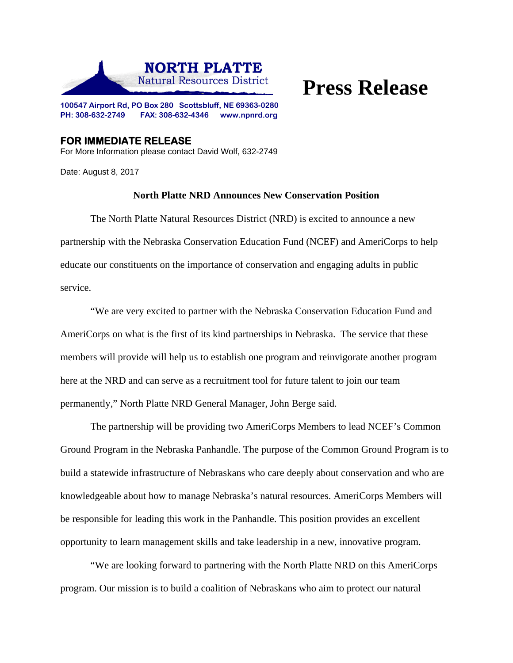

## **Press Release**

**100547 Airport Rd, PO Box 280 Scottsbluff, NE 69363-0280 PH: 308-632-2749 FAX: 308-632-4346 www.npnrd.org** 

**FOR IMMEDIATE RELEASE**  For More Information please contact David Wolf, 632-2749

Date: August 8, 2017

## **North Platte NRD Announces New Conservation Position**

 The North Platte Natural Resources District (NRD) is excited to announce a new partnership with the Nebraska Conservation Education Fund (NCEF) and AmeriCorps to help educate our constituents on the importance of conservation and engaging adults in public service.

"We are very excited to partner with the Nebraska Conservation Education Fund and AmeriCorps on what is the first of its kind partnerships in Nebraska. The service that these members will provide will help us to establish one program and reinvigorate another program here at the NRD and can serve as a recruitment tool for future talent to join our team permanently," North Platte NRD General Manager, John Berge said.

The partnership will be providing two AmeriCorps Members to lead NCEF's Common Ground Program in the Nebraska Panhandle. The purpose of the Common Ground Program is to build a statewide infrastructure of Nebraskans who care deeply about conservation and who are knowledgeable about how to manage Nebraska's natural resources. AmeriCorps Members will be responsible for leading this work in the Panhandle. This position provides an excellent opportunity to learn management skills and take leadership in a new, innovative program.

"We are looking forward to partnering with the North Platte NRD on this AmeriCorps program. Our mission is to build a coalition of Nebraskans who aim to protect our natural